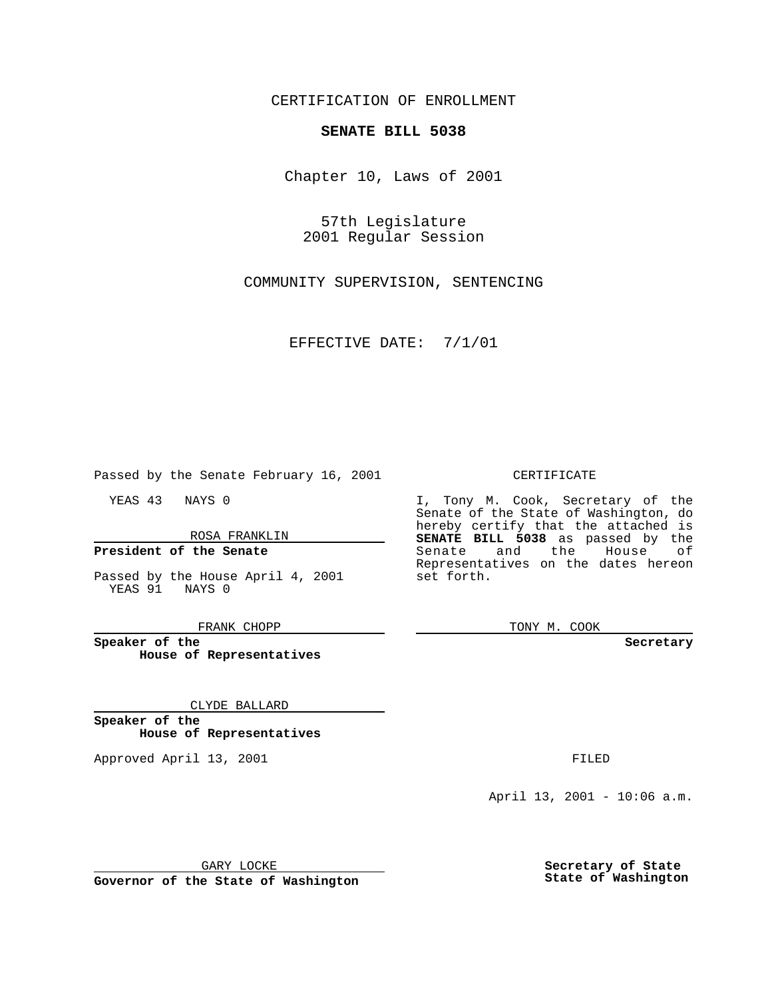CERTIFICATION OF ENROLLMENT

# **SENATE BILL 5038**

Chapter 10, Laws of 2001

57th Legislature 2001 Regular Session

COMMUNITY SUPERVISION, SENTENCING

EFFECTIVE DATE: 7/1/01

Passed by the Senate February 16, 2001

YEAS 43 NAYS 0

ROSA FRANKLIN

### **President of the Senate**

Passed by the House April 4, 2001 YEAS 91 NAYS 0

FRANK CHOPP

**Speaker of the House of Representatives**

#### CLYDE BALLARD

**Speaker of the House of Representatives**

Approved April 13, 2001 **FILED** 

#### CERTIFICATE

I, Tony M. Cook, Secretary of the Senate of the State of Washington, do hereby certify that the attached is **SENATE BILL 5038** as passed by the Senate and the House of Representatives on the dates hereon set forth.

TONY M. COOK

**Secretary**

April 13, 2001 - 10:06 a.m.

GARY LOCKE

**Governor of the State of Washington**

**Secretary of State State of Washington**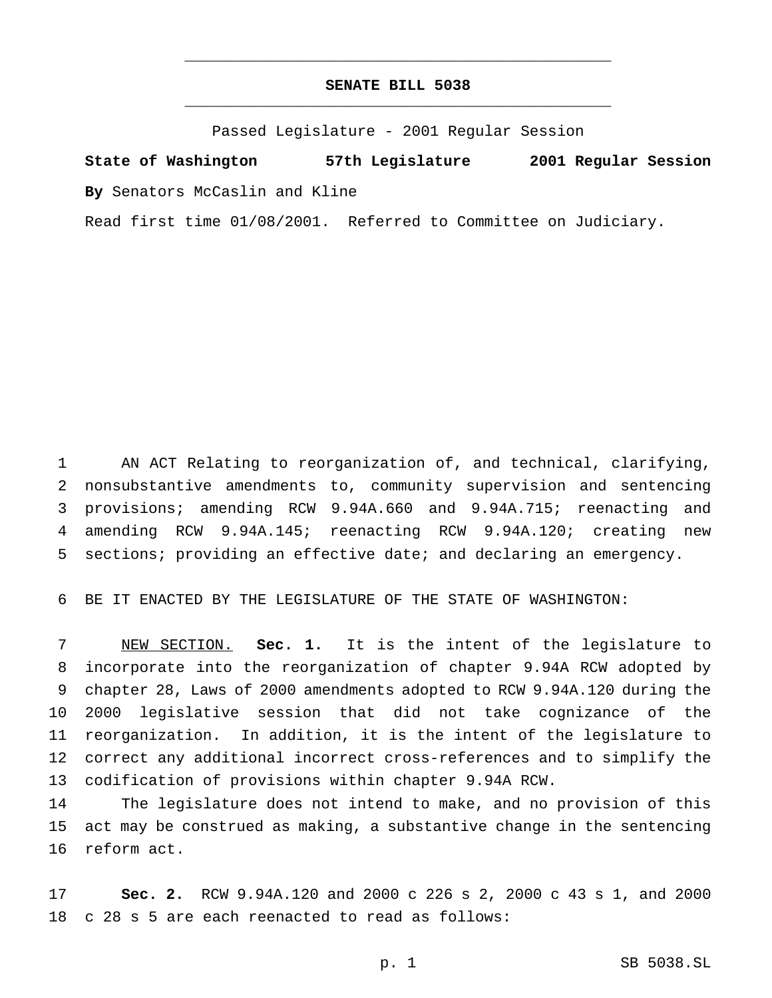## **SENATE BILL 5038** \_\_\_\_\_\_\_\_\_\_\_\_\_\_\_\_\_\_\_\_\_\_\_\_\_\_\_\_\_\_\_\_\_\_\_\_\_\_\_\_\_\_\_\_\_\_\_

\_\_\_\_\_\_\_\_\_\_\_\_\_\_\_\_\_\_\_\_\_\_\_\_\_\_\_\_\_\_\_\_\_\_\_\_\_\_\_\_\_\_\_\_\_\_\_

Passed Legislature - 2001 Regular Session

**State of Washington 57th Legislature 2001 Regular Session By** Senators McCaslin and Kline

Read first time 01/08/2001. Referred to Committee on Judiciary.

 AN ACT Relating to reorganization of, and technical, clarifying, nonsubstantive amendments to, community supervision and sentencing provisions; amending RCW 9.94A.660 and 9.94A.715; reenacting and amending RCW 9.94A.145; reenacting RCW 9.94A.120; creating new sections; providing an effective date; and declaring an emergency.

BE IT ENACTED BY THE LEGISLATURE OF THE STATE OF WASHINGTON:

 NEW SECTION. **Sec. 1.** It is the intent of the legislature to incorporate into the reorganization of chapter 9.94A RCW adopted by chapter 28, Laws of 2000 amendments adopted to RCW 9.94A.120 during the 2000 legislative session that did not take cognizance of the reorganization. In addition, it is the intent of the legislature to correct any additional incorrect cross-references and to simplify the codification of provisions within chapter 9.94A RCW.

 The legislature does not intend to make, and no provision of this act may be construed as making, a substantive change in the sentencing reform act.

 **Sec. 2.** RCW 9.94A.120 and 2000 c 226 s 2, 2000 c 43 s 1, and 2000 c 28 s 5 are each reenacted to read as follows: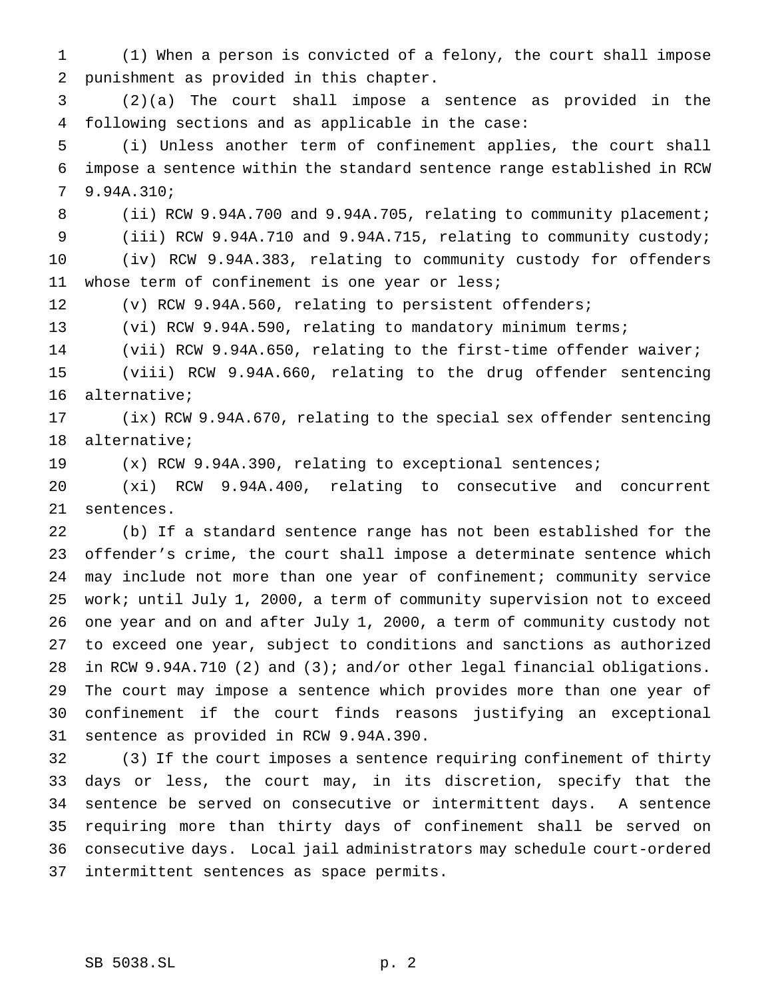(1) When a person is convicted of a felony, the court shall impose punishment as provided in this chapter.

 (2)(a) The court shall impose a sentence as provided in the following sections and as applicable in the case:

 (i) Unless another term of confinement applies, the court shall impose a sentence within the standard sentence range established in RCW 9.94A.310;

8 (ii) RCW 9.94A.700 and 9.94A.705, relating to community placement;

 (iii) RCW 9.94A.710 and 9.94A.715, relating to community custody; (iv) RCW 9.94A.383, relating to community custody for offenders whose term of confinement is one year or less;

(v) RCW 9.94A.560, relating to persistent offenders;

(vi) RCW 9.94A.590, relating to mandatory minimum terms;

(vii) RCW 9.94A.650, relating to the first-time offender waiver;

 (viii) RCW 9.94A.660, relating to the drug offender sentencing alternative;

 (ix) RCW 9.94A.670, relating to the special sex offender sentencing alternative;

(x) RCW 9.94A.390, relating to exceptional sentences;

 (xi) RCW 9.94A.400, relating to consecutive and concurrent sentences.

 (b) If a standard sentence range has not been established for the offender's crime, the court shall impose a determinate sentence which may include not more than one year of confinement; community service work; until July 1, 2000, a term of community supervision not to exceed one year and on and after July 1, 2000, a term of community custody not to exceed one year, subject to conditions and sanctions as authorized in RCW 9.94A.710 (2) and (3); and/or other legal financial obligations. The court may impose a sentence which provides more than one year of confinement if the court finds reasons justifying an exceptional sentence as provided in RCW 9.94A.390.

 (3) If the court imposes a sentence requiring confinement of thirty days or less, the court may, in its discretion, specify that the sentence be served on consecutive or intermittent days. A sentence requiring more than thirty days of confinement shall be served on consecutive days. Local jail administrators may schedule court-ordered intermittent sentences as space permits.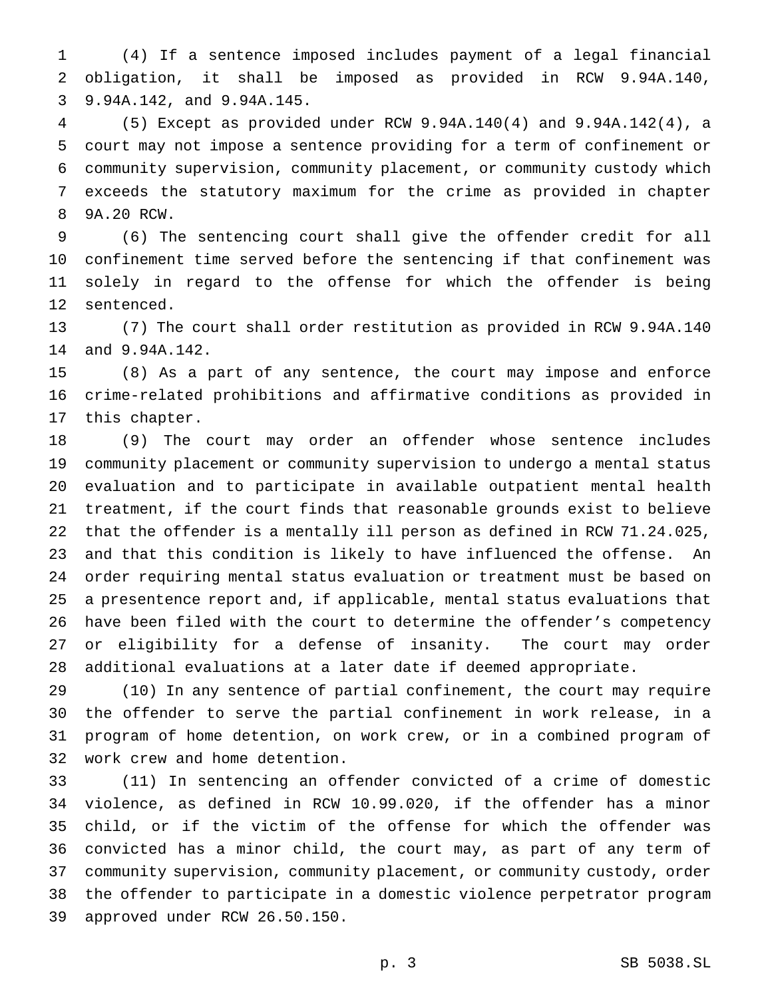(4) If a sentence imposed includes payment of a legal financial obligation, it shall be imposed as provided in RCW 9.94A.140, 9.94A.142, and 9.94A.145.

 (5) Except as provided under RCW 9.94A.140(4) and 9.94A.142(4), a court may not impose a sentence providing for a term of confinement or community supervision, community placement, or community custody which exceeds the statutory maximum for the crime as provided in chapter 9A.20 RCW.

 (6) The sentencing court shall give the offender credit for all confinement time served before the sentencing if that confinement was solely in regard to the offense for which the offender is being sentenced.

 (7) The court shall order restitution as provided in RCW 9.94A.140 and 9.94A.142.

 (8) As a part of any sentence, the court may impose and enforce crime-related prohibitions and affirmative conditions as provided in this chapter.

 (9) The court may order an offender whose sentence includes community placement or community supervision to undergo a mental status evaluation and to participate in available outpatient mental health treatment, if the court finds that reasonable grounds exist to believe that the offender is a mentally ill person as defined in RCW 71.24.025, and that this condition is likely to have influenced the offense. An order requiring mental status evaluation or treatment must be based on a presentence report and, if applicable, mental status evaluations that have been filed with the court to determine the offender's competency or eligibility for a defense of insanity. The court may order additional evaluations at a later date if deemed appropriate.

 (10) In any sentence of partial confinement, the court may require the offender to serve the partial confinement in work release, in a program of home detention, on work crew, or in a combined program of work crew and home detention.

 (11) In sentencing an offender convicted of a crime of domestic violence, as defined in RCW 10.99.020, if the offender has a minor child, or if the victim of the offense for which the offender was convicted has a minor child, the court may, as part of any term of community supervision, community placement, or community custody, order the offender to participate in a domestic violence perpetrator program approved under RCW 26.50.150.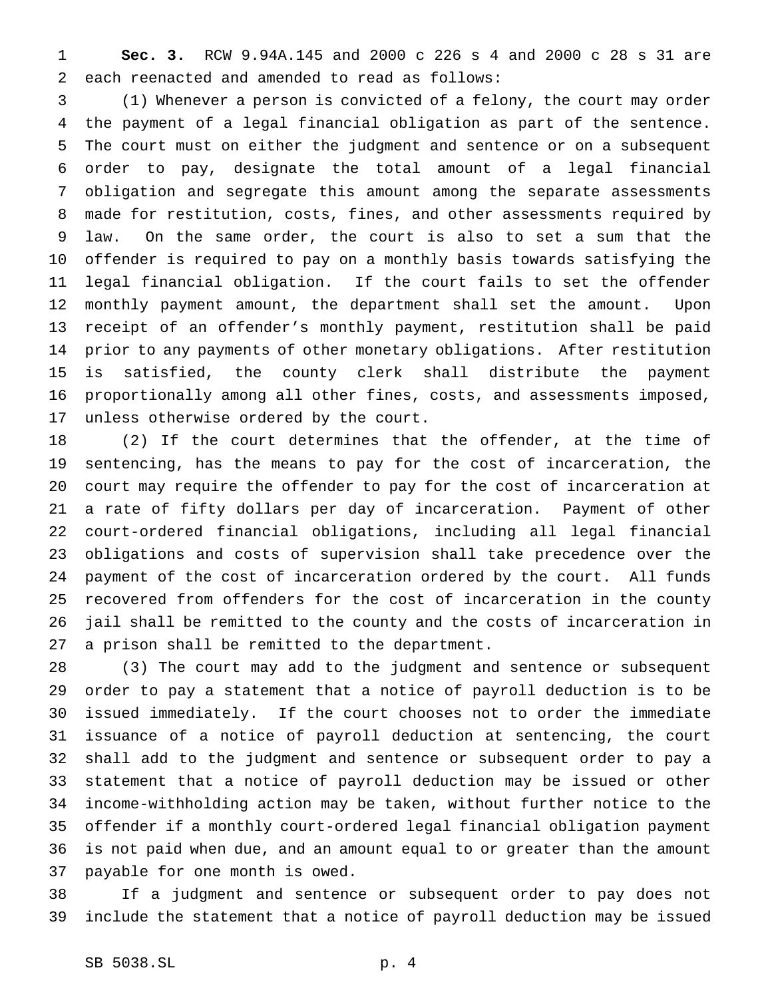**Sec. 3.** RCW 9.94A.145 and 2000 c 226 s 4 and 2000 c 28 s 31 are each reenacted and amended to read as follows:

 (1) Whenever a person is convicted of a felony, the court may order the payment of a legal financial obligation as part of the sentence. The court must on either the judgment and sentence or on a subsequent order to pay, designate the total amount of a legal financial obligation and segregate this amount among the separate assessments made for restitution, costs, fines, and other assessments required by law. On the same order, the court is also to set a sum that the offender is required to pay on a monthly basis towards satisfying the legal financial obligation. If the court fails to set the offender monthly payment amount, the department shall set the amount. Upon receipt of an offender's monthly payment, restitution shall be paid prior to any payments of other monetary obligations. After restitution is satisfied, the county clerk shall distribute the payment proportionally among all other fines, costs, and assessments imposed, unless otherwise ordered by the court.

 (2) If the court determines that the offender, at the time of sentencing, has the means to pay for the cost of incarceration, the court may require the offender to pay for the cost of incarceration at a rate of fifty dollars per day of incarceration. Payment of other court-ordered financial obligations, including all legal financial obligations and costs of supervision shall take precedence over the payment of the cost of incarceration ordered by the court. All funds recovered from offenders for the cost of incarceration in the county jail shall be remitted to the county and the costs of incarceration in a prison shall be remitted to the department.

 (3) The court may add to the judgment and sentence or subsequent order to pay a statement that a notice of payroll deduction is to be issued immediately. If the court chooses not to order the immediate issuance of a notice of payroll deduction at sentencing, the court shall add to the judgment and sentence or subsequent order to pay a statement that a notice of payroll deduction may be issued or other income-withholding action may be taken, without further notice to the offender if a monthly court-ordered legal financial obligation payment is not paid when due, and an amount equal to or greater than the amount payable for one month is owed.

 If a judgment and sentence or subsequent order to pay does not include the statement that a notice of payroll deduction may be issued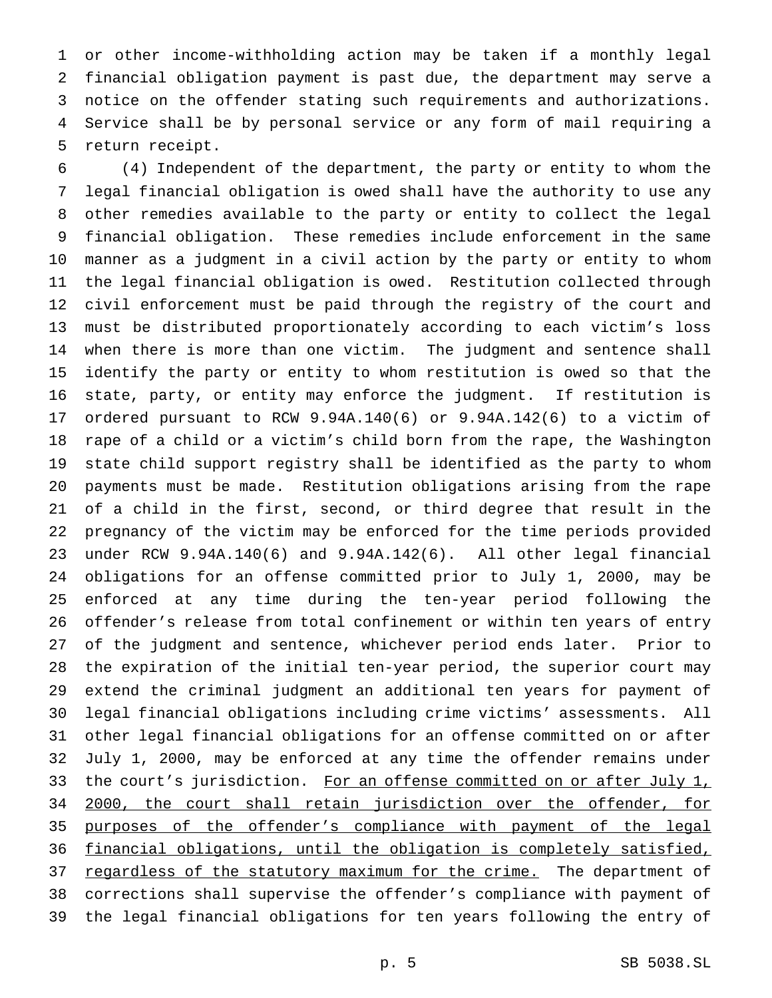or other income-withholding action may be taken if a monthly legal financial obligation payment is past due, the department may serve a notice on the offender stating such requirements and authorizations. Service shall be by personal service or any form of mail requiring a return receipt.

 (4) Independent of the department, the party or entity to whom the legal financial obligation is owed shall have the authority to use any other remedies available to the party or entity to collect the legal financial obligation. These remedies include enforcement in the same manner as a judgment in a civil action by the party or entity to whom the legal financial obligation is owed. Restitution collected through civil enforcement must be paid through the registry of the court and must be distributed proportionately according to each victim's loss when there is more than one victim. The judgment and sentence shall identify the party or entity to whom restitution is owed so that the state, party, or entity may enforce the judgment. If restitution is ordered pursuant to RCW 9.94A.140(6) or 9.94A.142(6) to a victim of rape of a child or a victim's child born from the rape, the Washington state child support registry shall be identified as the party to whom payments must be made. Restitution obligations arising from the rape of a child in the first, second, or third degree that result in the pregnancy of the victim may be enforced for the time periods provided under RCW 9.94A.140(6) and 9.94A.142(6). All other legal financial obligations for an offense committed prior to July 1, 2000, may be enforced at any time during the ten-year period following the offender's release from total confinement or within ten years of entry of the judgment and sentence, whichever period ends later. Prior to the expiration of the initial ten-year period, the superior court may extend the criminal judgment an additional ten years for payment of legal financial obligations including crime victims' assessments. All other legal financial obligations for an offense committed on or after July 1, 2000, may be enforced at any time the offender remains under 33 the court's jurisdiction. For an offense committed on or after July 1, 2000, the court shall retain jurisdiction over the offender, for purposes of the offender's compliance with payment of the legal financial obligations, until the obligation is completely satisfied, 37 regardless of the statutory maximum for the crime. The department of corrections shall supervise the offender's compliance with payment of the legal financial obligations for ten years following the entry of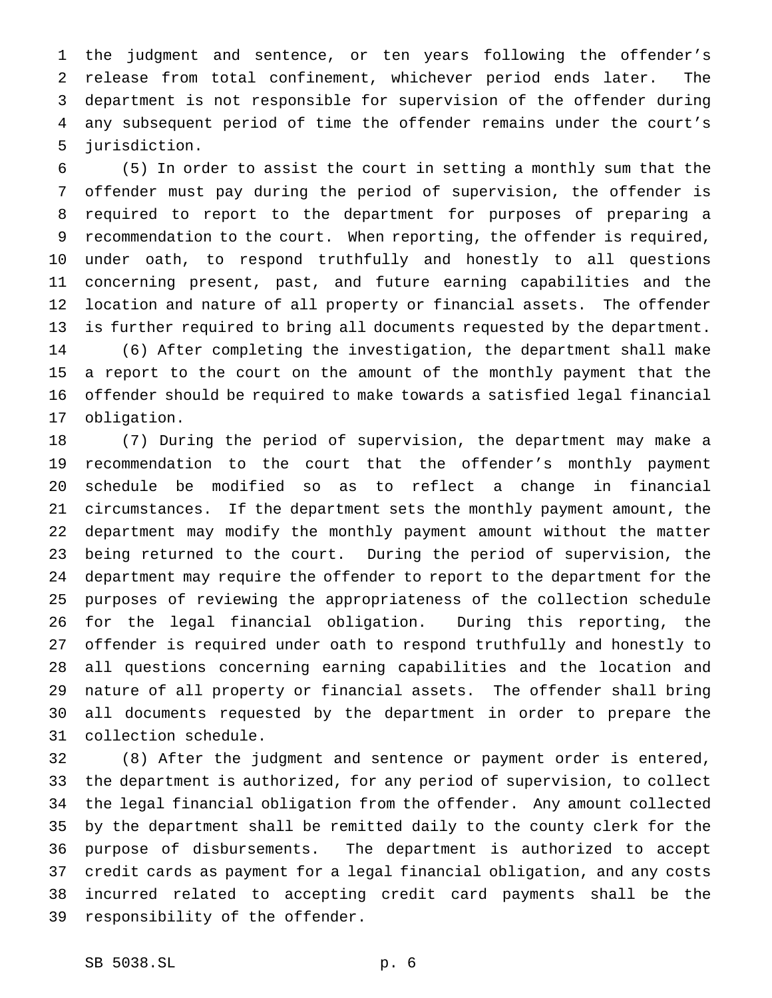the judgment and sentence, or ten years following the offender's release from total confinement, whichever period ends later. The department is not responsible for supervision of the offender during any subsequent period of time the offender remains under the court's jurisdiction.

 (5) In order to assist the court in setting a monthly sum that the offender must pay during the period of supervision, the offender is required to report to the department for purposes of preparing a recommendation to the court. When reporting, the offender is required, under oath, to respond truthfully and honestly to all questions concerning present, past, and future earning capabilities and the location and nature of all property or financial assets. The offender is further required to bring all documents requested by the department. (6) After completing the investigation, the department shall make a report to the court on the amount of the monthly payment that the offender should be required to make towards a satisfied legal financial obligation.

 (7) During the period of supervision, the department may make a recommendation to the court that the offender's monthly payment schedule be modified so as to reflect a change in financial circumstances. If the department sets the monthly payment amount, the department may modify the monthly payment amount without the matter being returned to the court. During the period of supervision, the department may require the offender to report to the department for the purposes of reviewing the appropriateness of the collection schedule for the legal financial obligation. During this reporting, the offender is required under oath to respond truthfully and honestly to all questions concerning earning capabilities and the location and nature of all property or financial assets. The offender shall bring all documents requested by the department in order to prepare the collection schedule.

 (8) After the judgment and sentence or payment order is entered, the department is authorized, for any period of supervision, to collect the legal financial obligation from the offender. Any amount collected by the department shall be remitted daily to the county clerk for the purpose of disbursements. The department is authorized to accept credit cards as payment for a legal financial obligation, and any costs incurred related to accepting credit card payments shall be the responsibility of the offender.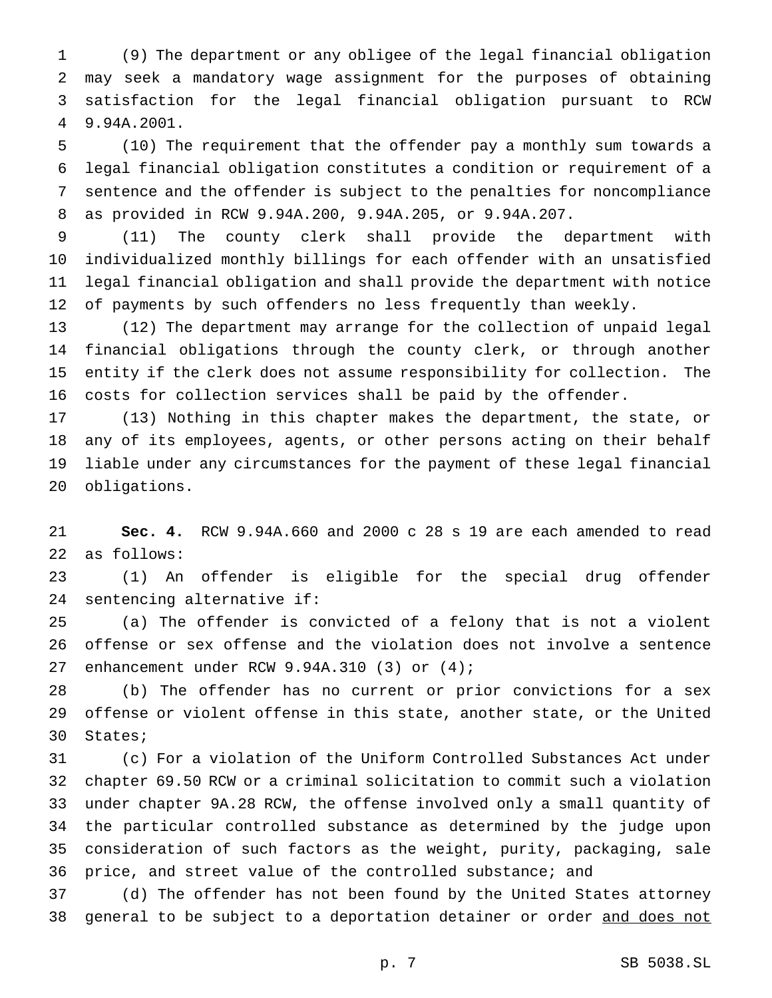(9) The department or any obligee of the legal financial obligation may seek a mandatory wage assignment for the purposes of obtaining satisfaction for the legal financial obligation pursuant to RCW 9.94A.2001.

 (10) The requirement that the offender pay a monthly sum towards a legal financial obligation constitutes a condition or requirement of a sentence and the offender is subject to the penalties for noncompliance as provided in RCW 9.94A.200, 9.94A.205, or 9.94A.207.

 (11) The county clerk shall provide the department with individualized monthly billings for each offender with an unsatisfied legal financial obligation and shall provide the department with notice of payments by such offenders no less frequently than weekly.

 (12) The department may arrange for the collection of unpaid legal financial obligations through the county clerk, or through another entity if the clerk does not assume responsibility for collection. The costs for collection services shall be paid by the offender.

 (13) Nothing in this chapter makes the department, the state, or any of its employees, agents, or other persons acting on their behalf liable under any circumstances for the payment of these legal financial obligations.

 **Sec. 4.** RCW 9.94A.660 and 2000 c 28 s 19 are each amended to read as follows:

 (1) An offender is eligible for the special drug offender sentencing alternative if:

 (a) The offender is convicted of a felony that is not a violent offense or sex offense and the violation does not involve a sentence enhancement under RCW 9.94A.310 (3) or (4);

 (b) The offender has no current or prior convictions for a sex offense or violent offense in this state, another state, or the United States;

 (c) For a violation of the Uniform Controlled Substances Act under chapter 69.50 RCW or a criminal solicitation to commit such a violation under chapter 9A.28 RCW, the offense involved only a small quantity of the particular controlled substance as determined by the judge upon consideration of such factors as the weight, purity, packaging, sale price, and street value of the controlled substance; and

 (d) The offender has not been found by the United States attorney general to be subject to a deportation detainer or order and does not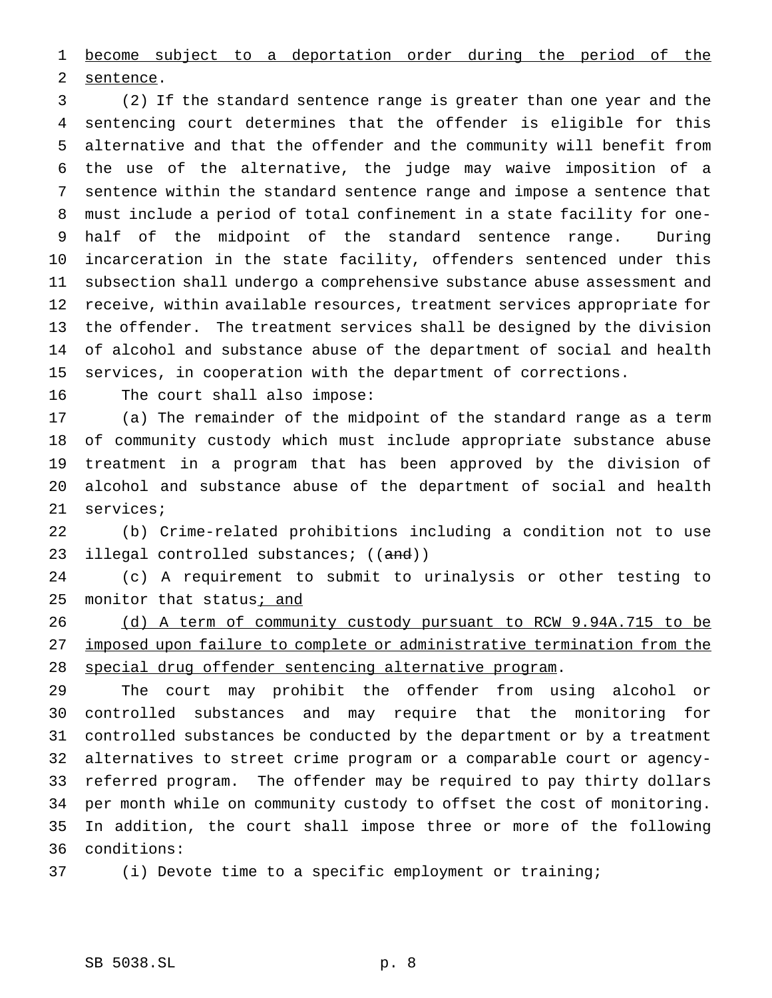become subject to a deportation order during the period of the sentence.

 (2) If the standard sentence range is greater than one year and the sentencing court determines that the offender is eligible for this alternative and that the offender and the community will benefit from the use of the alternative, the judge may waive imposition of a sentence within the standard sentence range and impose a sentence that must include a period of total confinement in a state facility for one- half of the midpoint of the standard sentence range. During incarceration in the state facility, offenders sentenced under this subsection shall undergo a comprehensive substance abuse assessment and receive, within available resources, treatment services appropriate for the offender. The treatment services shall be designed by the division of alcohol and substance abuse of the department of social and health services, in cooperation with the department of corrections.

The court shall also impose:

 (a) The remainder of the midpoint of the standard range as a term of community custody which must include appropriate substance abuse treatment in a program that has been approved by the division of alcohol and substance abuse of the department of social and health services;

 (b) Crime-related prohibitions including a condition not to use 23 illegal controlled substances; ((and))

 (c) A requirement to submit to urinalysis or other testing to 25 monitor that status; and

 (d) A term of community custody pursuant to RCW 9.94A.715 to be imposed upon failure to complete or administrative termination from the special drug offender sentencing alternative program.

 The court may prohibit the offender from using alcohol or controlled substances and may require that the monitoring for controlled substances be conducted by the department or by a treatment alternatives to street crime program or a comparable court or agency- referred program. The offender may be required to pay thirty dollars per month while on community custody to offset the cost of monitoring. In addition, the court shall impose three or more of the following conditions:

(i) Devote time to a specific employment or training;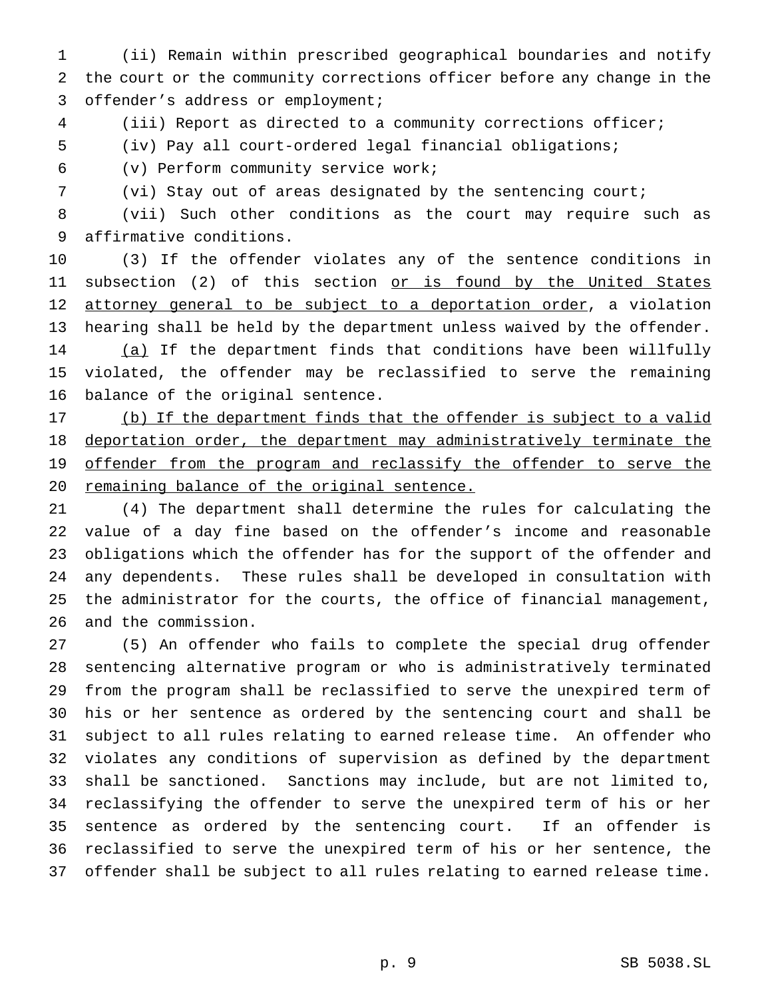(ii) Remain within prescribed geographical boundaries and notify the court or the community corrections officer before any change in the offender's address or employment;

(iii) Report as directed to a community corrections officer;

(iv) Pay all court-ordered legal financial obligations;

(v) Perform community service work;

(vi) Stay out of areas designated by the sentencing court;

 (vii) Such other conditions as the court may require such as affirmative conditions.

 (3) If the offender violates any of the sentence conditions in 11 subsection (2) of this section or is found by the United States 12 attorney general to be subject to a deportation order, a violation hearing shall be held by the department unless waived by the offender. (a) If the department finds that conditions have been willfully violated, the offender may be reclassified to serve the remaining balance of the original sentence.

 (b) If the department finds that the offender is subject to a valid deportation order, the department may administratively terminate the 19 offender from the program and reclassify the offender to serve the remaining balance of the original sentence.

 (4) The department shall determine the rules for calculating the value of a day fine based on the offender's income and reasonable obligations which the offender has for the support of the offender and any dependents. These rules shall be developed in consultation with the administrator for the courts, the office of financial management, and the commission.

 (5) An offender who fails to complete the special drug offender sentencing alternative program or who is administratively terminated from the program shall be reclassified to serve the unexpired term of his or her sentence as ordered by the sentencing court and shall be subject to all rules relating to earned release time. An offender who violates any conditions of supervision as defined by the department shall be sanctioned. Sanctions may include, but are not limited to, reclassifying the offender to serve the unexpired term of his or her sentence as ordered by the sentencing court. If an offender is reclassified to serve the unexpired term of his or her sentence, the offender shall be subject to all rules relating to earned release time.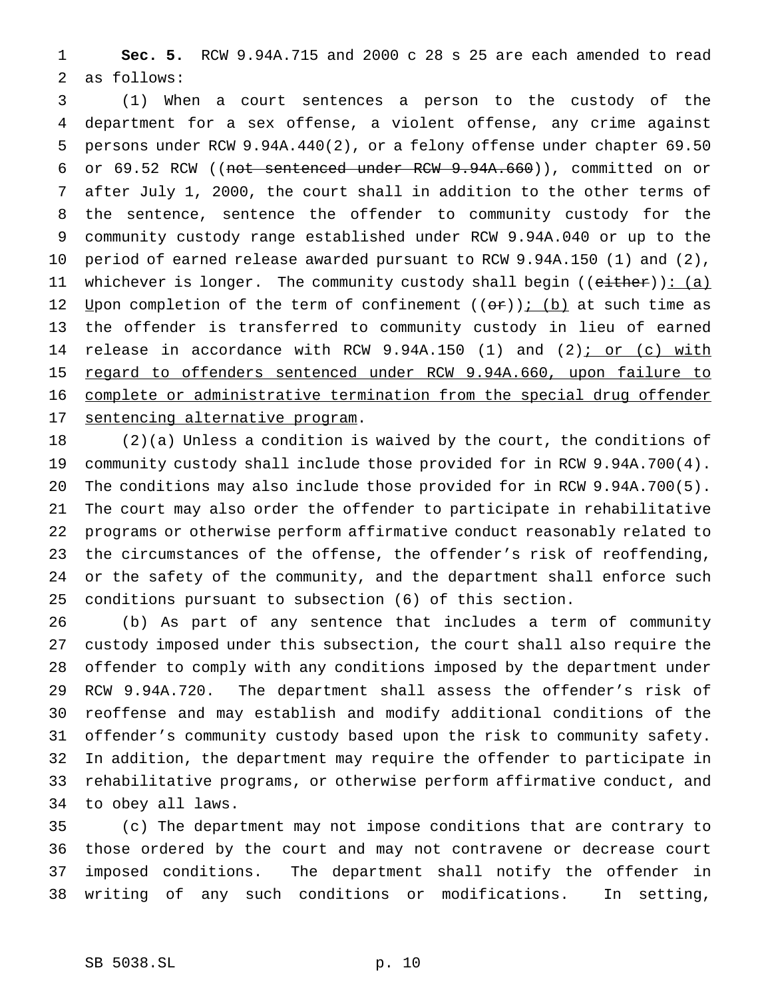**Sec. 5.** RCW 9.94A.715 and 2000 c 28 s 25 are each amended to read as follows:

 (1) When a court sentences a person to the custody of the department for a sex offense, a violent offense, any crime against persons under RCW 9.94A.440(2), or a felony offense under chapter 69.50 or 69.52 RCW ((not sentenced under RCW 9.94A.660)), committed on or after July 1, 2000, the court shall in addition to the other terms of the sentence, sentence the offender to community custody for the community custody range established under RCW 9.94A.040 or up to the period of earned release awarded pursuant to RCW 9.94A.150 (1) and (2), 11 whichever is longer. The community custody shall begin ((either)): (a) 12 Upon completion of the term of confinement  $((or))$ ; (b) at such time as the offender is transferred to community custody in lieu of earned 14 release in accordance with RCW 9.94A.150 (1) and (2); or (c) with 15 regard to offenders sentenced under RCW 9.94A.660, upon failure to complete or administrative termination from the special drug offender sentencing alternative program.

 (2)(a) Unless a condition is waived by the court, the conditions of community custody shall include those provided for in RCW 9.94A.700(4). The conditions may also include those provided for in RCW 9.94A.700(5). The court may also order the offender to participate in rehabilitative programs or otherwise perform affirmative conduct reasonably related to the circumstances of the offense, the offender's risk of reoffending, or the safety of the community, and the department shall enforce such conditions pursuant to subsection (6) of this section.

 (b) As part of any sentence that includes a term of community custody imposed under this subsection, the court shall also require the offender to comply with any conditions imposed by the department under RCW 9.94A.720. The department shall assess the offender's risk of reoffense and may establish and modify additional conditions of the offender's community custody based upon the risk to community safety. In addition, the department may require the offender to participate in rehabilitative programs, or otherwise perform affirmative conduct, and to obey all laws.

 (c) The department may not impose conditions that are contrary to those ordered by the court and may not contravene or decrease court imposed conditions. The department shall notify the offender in writing of any such conditions or modifications. In setting,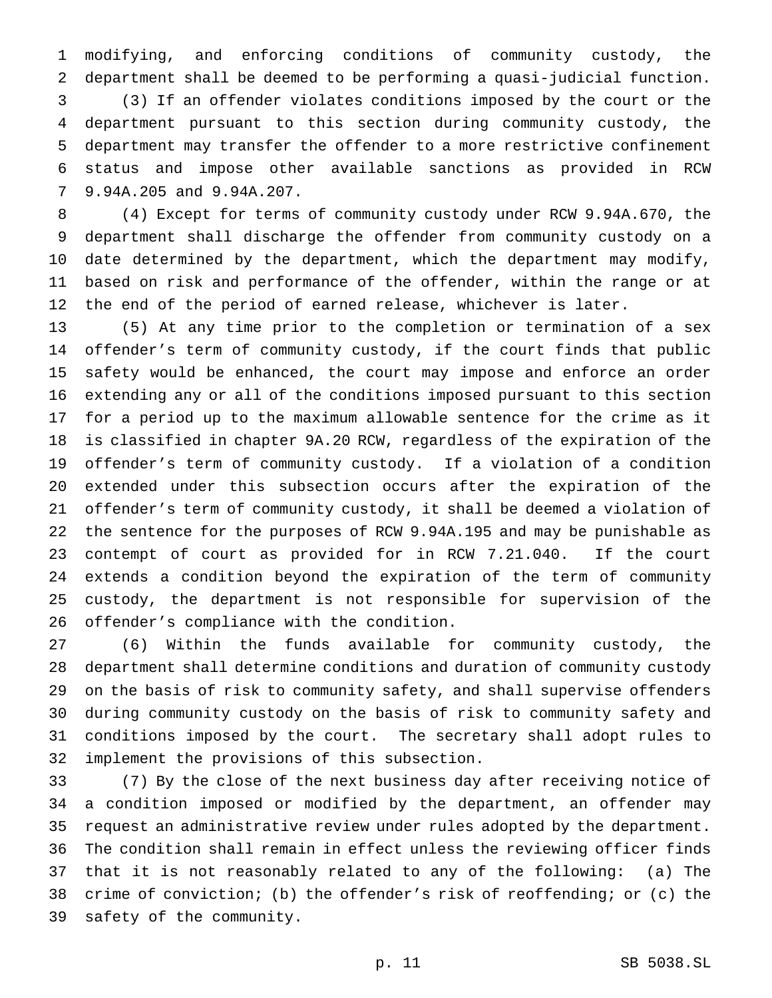modifying, and enforcing conditions of community custody, the department shall be deemed to be performing a quasi-judicial function. (3) If an offender violates conditions imposed by the court or the department pursuant to this section during community custody, the department may transfer the offender to a more restrictive confinement status and impose other available sanctions as provided in RCW 9.94A.205 and 9.94A.207.

 (4) Except for terms of community custody under RCW 9.94A.670, the department shall discharge the offender from community custody on a date determined by the department, which the department may modify, based on risk and performance of the offender, within the range or at the end of the period of earned release, whichever is later.

 (5) At any time prior to the completion or termination of a sex offender's term of community custody, if the court finds that public safety would be enhanced, the court may impose and enforce an order extending any or all of the conditions imposed pursuant to this section for a period up to the maximum allowable sentence for the crime as it is classified in chapter 9A.20 RCW, regardless of the expiration of the offender's term of community custody. If a violation of a condition extended under this subsection occurs after the expiration of the offender's term of community custody, it shall be deemed a violation of the sentence for the purposes of RCW 9.94A.195 and may be punishable as contempt of court as provided for in RCW 7.21.040. If the court extends a condition beyond the expiration of the term of community custody, the department is not responsible for supervision of the offender's compliance with the condition.

 (6) Within the funds available for community custody, the department shall determine conditions and duration of community custody on the basis of risk to community safety, and shall supervise offenders during community custody on the basis of risk to community safety and conditions imposed by the court. The secretary shall adopt rules to implement the provisions of this subsection.

 (7) By the close of the next business day after receiving notice of a condition imposed or modified by the department, an offender may request an administrative review under rules adopted by the department. The condition shall remain in effect unless the reviewing officer finds that it is not reasonably related to any of the following: (a) The crime of conviction; (b) the offender's risk of reoffending; or (c) the safety of the community.